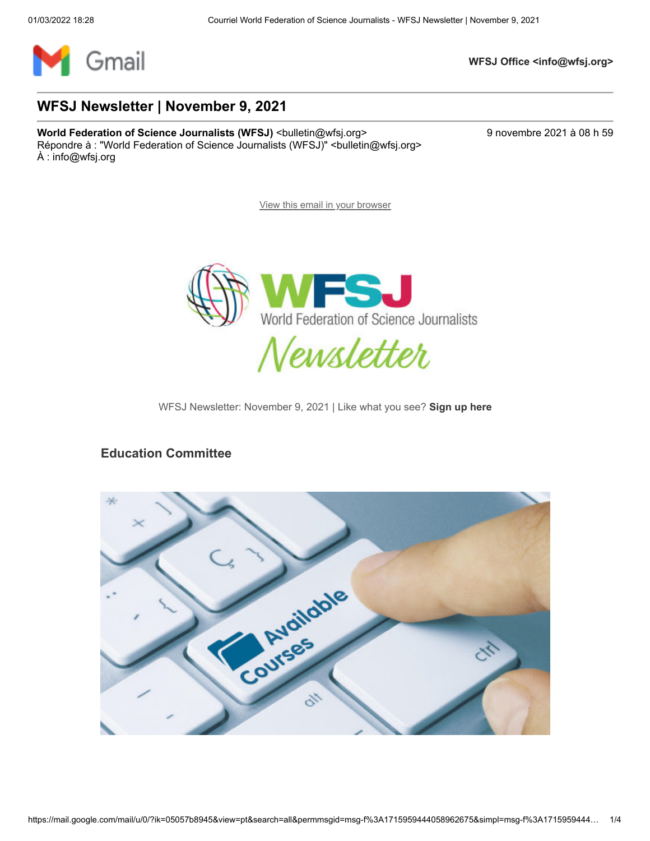

**WFSJ Office <info@wfsj.org>**

#### **WFSJ Newsletter | November 9, 2021**

**World Federation of Science Journalists (WFSJ)** <br/>
<br/>
<br/>
<br/>
<br/>
<br/>
<br/>
<br/>
<br/>
<br/>
World Federation of Science Journalists (WFSJ) <br/>
<br/>
<br/>
<br/>
<br/>
<br/>
<br/>
<br/>
<br/>
<br/>
<br/> Répondre à : "World Federation of Science Journalists (WFSJ)" <br/>bulletin@wfsj.org> À : info@wfsj.org

[View this email in your browser](https://mailchi.mp/wfsj/wfsj-newsletter-jumping-into-july-5681561?e=5575ecfde9)



WFSJ Newsletter: November 9, 2021 | Like what you see? **[Sign up here](https://wfsj.us2.list-manage.com/track/click?u=a8d11a901ac032467f5aed649&id=d3a92061d0&e=5575ecfde9)**

#### **Education Committee**

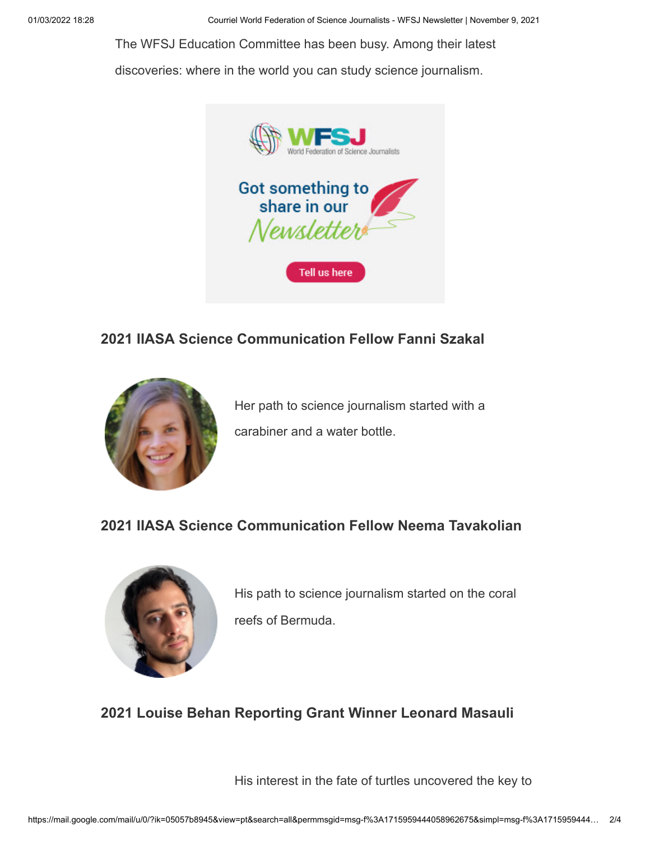[The WFSJ Education Committee has been busy. Among their latest](https://wfsj.us2.list-manage.com/track/click?u=a8d11a901ac032467f5aed649&id=f1db0a93f5&e=5575ecfde9)

discoveries: where in the world you can study science journalism.



### **2021 IIASA Science Communication Fellow Fanni Szakal**



[Her path to science journalism started with a](https://wfsj.us2.list-manage.com/track/click?u=a8d11a901ac032467f5aed649&id=ebbef481d4&e=5575ecfde9) carabiner and a water bottle.

### **2021 IIASA Science Communication Fellow Neema Tavakolian**



[His path to science journalism started on the coral](https://wfsj.us2.list-manage.com/track/click?u=a8d11a901ac032467f5aed649&id=1f11565ca2&e=5575ecfde9) reefs of Bermuda.

# **2021 Louise Behan Reporting Grant Winner Leonard Masauli**

[His interest in the fate of turtles uncovered the key to](https://wfsj.us2.list-manage.com/track/click?u=a8d11a901ac032467f5aed649&id=ccfceb229a&e=5575ecfde9)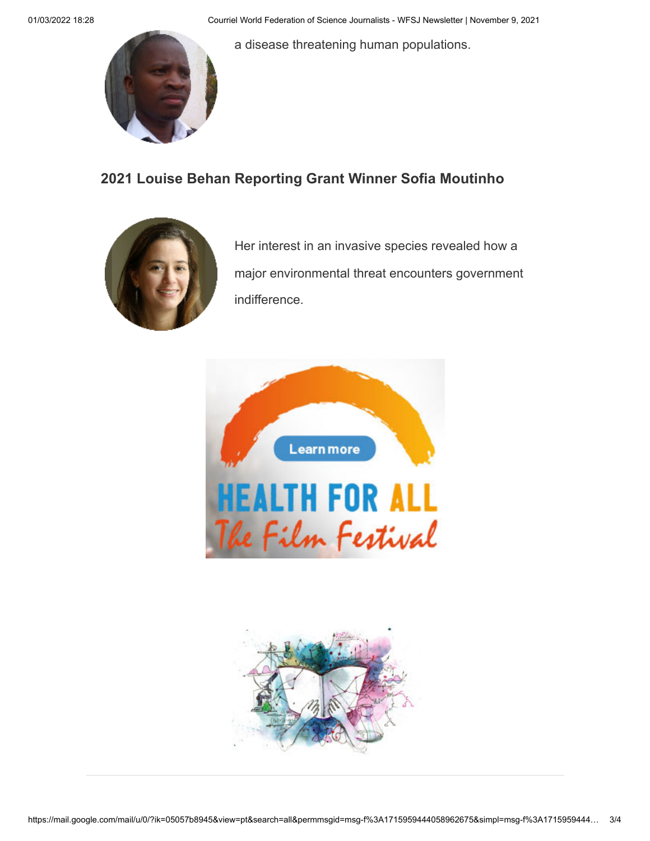[a disease threatening human populations.](https://wfsj.us2.list-manage.com/track/click?u=a8d11a901ac032467f5aed649&id=ccfceb229a&e=5575ecfde9)



## **2021 Louise Behan Reporting Grant Winner Sofia Moutinho**



Her interest in an invasive species revealed how a [major environmental threat encounters government](https://wfsj.us2.list-manage.com/track/click?u=a8d11a901ac032467f5aed649&id=b98ad02622&e=5575ecfde9) indifference.